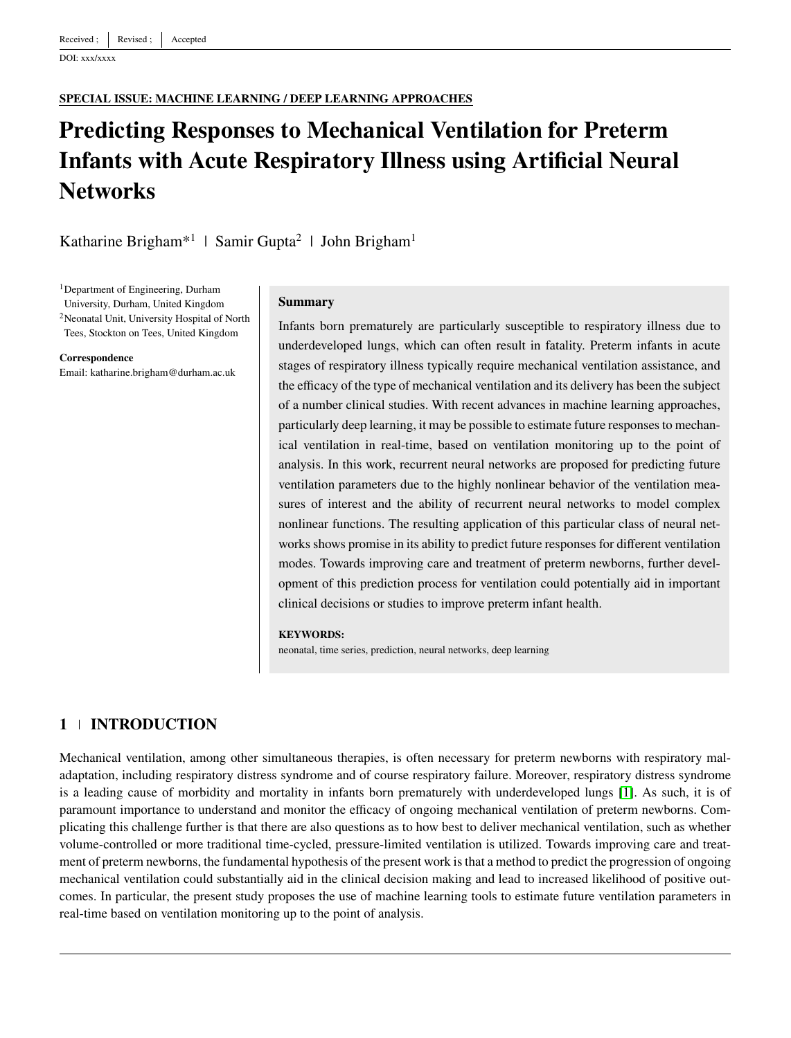DOI: xxx/xxxx

#### **SPECIAL ISSUE: MACHINE LEARNING / DEEP LEARNING APPROACHES**

# **Predicting Responses to Mechanical Ventilation for Preterm Infants with Acute Respiratory Illness using Artificial Neural Networks**

Katharine Brigham<sup>\*1</sup> | Samir Gupta<sup>2</sup> | John Brigham<sup>1</sup>

<sup>1</sup>Department of Engineering, Durham

University, Durham, United Kingdom

<sup>2</sup>Neonatal Unit, University Hospital of North Tees, Stockton on Tees, United Kingdom

#### **Correspondence**

Email: katharine.brigham@durham.ac.uk

#### **Summary**

Infants born prematurely are particularly susceptible to respiratory illness due to underdeveloped lungs, which can often result in fatality. Preterm infants in acute stages of respiratory illness typically require mechanical ventilation assistance, and the efficacy of the type of mechanical ventilation and its delivery has been the subject of a number clinical studies. With recent advances in machine learning approaches, particularly deep learning, it may be possible to estimate future responses to mechanical ventilation in real-time, based on ventilation monitoring up to the point of analysis. In this work, recurrent neural networks are proposed for predicting future ventilation parameters due to the highly nonlinear behavior of the ventilation measures of interest and the ability of recurrent neural networks to model complex nonlinear functions. The resulting application of this particular class of neural networks shows promise in its ability to predict future responses for different ventilation modes. Towards improving care and treatment of preterm newborns, further development of this prediction process for ventilation could potentially aid in important clinical decisions or studies to improve preterm infant health.

#### **KEYWORDS:**

neonatal, time series, prediction, neural networks, deep learning

# **1 INTRODUCTION**

Mechanical ventilation, among other simultaneous therapies, is often necessary for preterm newborns with respiratory maladaptation, including respiratory distress syndrome and of course respiratory failure. Moreover, respiratory distress syndrome is a leading cause of morbidity and mortality in infants born prematurely with underdeveloped lungs [\[1\]](#page-9-0). As such, it is of paramount importance to understand and monitor the efficacy of ongoing mechanical ventilation of preterm newborns. Complicating this challenge further is that there are also questions as to how best to deliver mechanical ventilation, such as whether volume-controlled or more traditional time-cycled, pressure-limited ventilation is utilized. Towards improving care and treatment of preterm newborns, the fundamental hypothesis of the present work is that a method to predict the progression of ongoing mechanical ventilation could substantially aid in the clinical decision making and lead to increased likelihood of positive outcomes. In particular, the present study proposes the use of machine learning tools to estimate future ventilation parameters in real-time based on ventilation monitoring up to the point of analysis.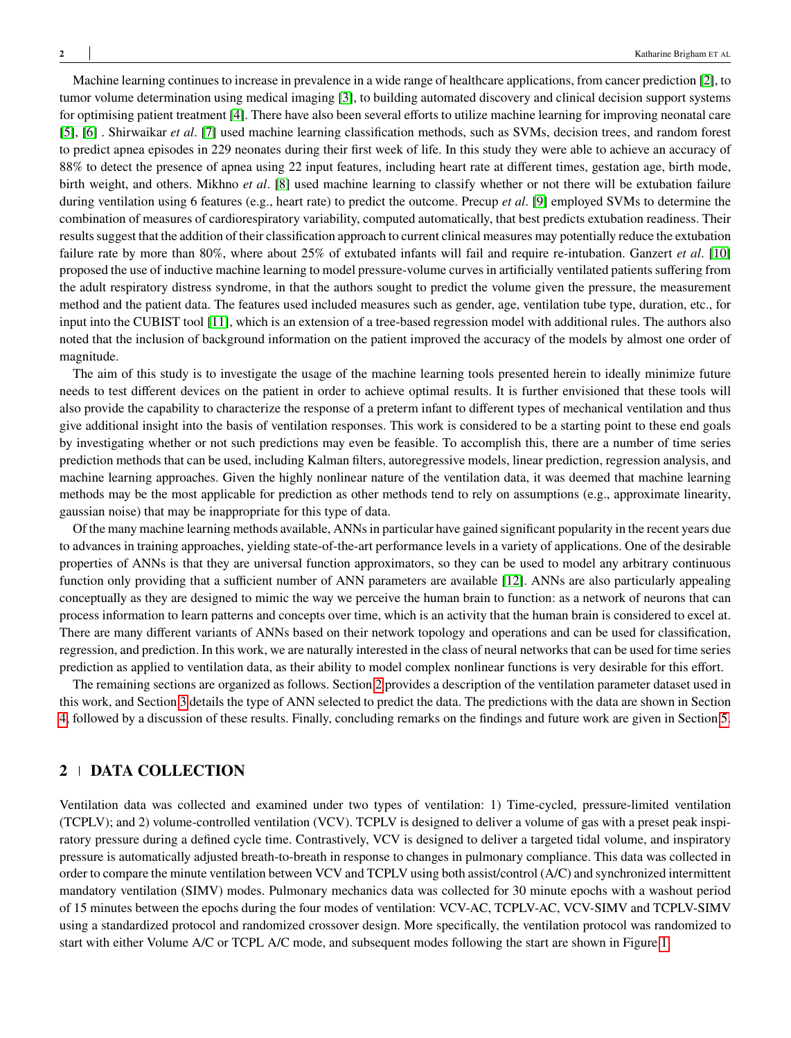Machine learning continues to increase in prevalence in a wide range of healthcare applications, from cancer prediction [\[2\]](#page-9-1), to tumor volume determination using medical imaging [\[3\]](#page-9-2), to building automated discovery and clinical decision support systems for optimising patient treatment [\[4\]](#page-9-3). There have also been several efforts to utilize machine learning for improving neonatal care [\[5\]](#page-9-4), [\[6\]](#page-9-5) . Shirwaikar *et al*. [\[7\]](#page-9-6) used machine learning classification methods, such as SVMs, decision trees, and random forest to predict apnea episodes in 229 neonates during their first week of life. In this study they were able to achieve an accuracy of 88% to detect the presence of apnea using 22 input features, including heart rate at different times, gestation age, birth mode, birth weight, and others. Mikhno *et al*. [\[8\]](#page-9-7) used machine learning to classify whether or not there will be extubation failure during ventilation using 6 features (e.g., heart rate) to predict the outcome. Precup *et al*. [\[9\]](#page-9-8) employed SVMs to determine the combination of measures of cardiorespiratory variability, computed automatically, that best predicts extubation readiness. Their results suggest that the addition of their classification approach to current clinical measures may potentially reduce the extubation failure rate by more than 80%, where about 25% of extubated infants will fail and require re-intubation. Ganzert *et al*. [\[10\]](#page-9-9) proposed the use of inductive machine learning to model pressure-volume curves in artificially ventilated patients suffering from the adult respiratory distress syndrome, in that the authors sought to predict the volume given the pressure, the measurement method and the patient data. The features used included measures such as gender, age, ventilation tube type, duration, etc., for input into the CUBIST tool [\[11\]](#page-9-10), which is an extension of a tree-based regression model with additional rules. The authors also noted that the inclusion of background information on the patient improved the accuracy of the models by almost one order of magnitude.

The aim of this study is to investigate the usage of the machine learning tools presented herein to ideally minimize future needs to test different devices on the patient in order to achieve optimal results. It is further envisioned that these tools will also provide the capability to characterize the response of a preterm infant to different types of mechanical ventilation and thus give additional insight into the basis of ventilation responses. This work is considered to be a starting point to these end goals by investigating whether or not such predictions may even be feasible. To accomplish this, there are a number of time series prediction methods that can be used, including Kalman filters, autoregressive models, linear prediction, regression analysis, and machine learning approaches. Given the highly nonlinear nature of the ventilation data, it was deemed that machine learning methods may be the most applicable for prediction as other methods tend to rely on assumptions (e.g., approximate linearity, gaussian noise) that may be inappropriate for this type of data.

Of the many machine learning methods available, ANNs in particular have gained significant popularity in the recent years due to advances in training approaches, yielding state-of-the-art performance levels in a variety of applications. One of the desirable properties of ANNs is that they are universal function approximators, so they can be used to model any arbitrary continuous function only providing that a sufficient number of ANN parameters are available [\[12\]](#page-9-11). ANNs are also particularly appealing conceptually as they are designed to mimic the way we perceive the human brain to function: as a network of neurons that can process information to learn patterns and concepts over time, which is an activity that the human brain is considered to excel at. There are many different variants of ANNs based on their network topology and operations and can be used for classification, regression, and prediction. In this work, we are naturally interested in the class of neural networks that can be used for time series prediction as applied to ventilation data, as their ability to model complex nonlinear functions is very desirable for this effort.

The remaining sections are organized as follows. Section [2](#page-1-0) provides a description of the ventilation parameter dataset used in this work, and Section [3](#page-2-0) details the type of ANN selected to predict the data. The predictions with the data are shown in Section [4,](#page-4-0) followed by a discussion of these results. Finally, concluding remarks on the findings and future work are given in Section [5.](#page-6-0)

# <span id="page-1-0"></span>**2 DATA COLLECTION**

Ventilation data was collected and examined under two types of ventilation: 1) Time-cycled, pressure-limited ventilation (TCPLV); and 2) volume-controlled ventilation (VCV). TCPLV is designed to deliver a volume of gas with a preset peak inspiratory pressure during a defined cycle time. Contrastively, VCV is designed to deliver a targeted tidal volume, and inspiratory pressure is automatically adjusted breath-to-breath in response to changes in pulmonary compliance. This data was collected in order to compare the minute ventilation between VCV and TCPLV using both assist/control (A/C) and synchronized intermittent mandatory ventilation (SIMV) modes. Pulmonary mechanics data was collected for 30 minute epochs with a washout period of 15 minutes between the epochs during the four modes of ventilation: VCV-AC, TCPLV-AC, VCV-SIMV and TCPLV-SIMV using a standardized protocol and randomized crossover design. More specifically, the ventilation protocol was randomized to start with either Volume A/C or TCPL A/C mode, and subsequent modes following the start are shown in Figure [1.](#page-2-1)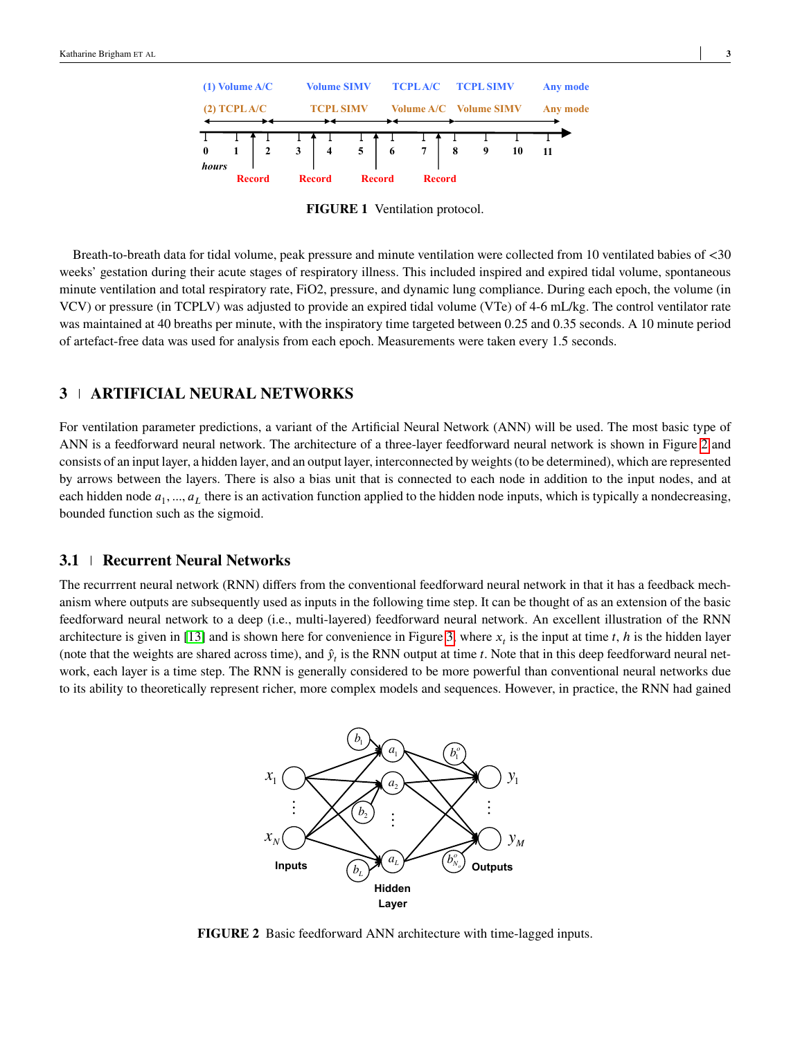<span id="page-2-1"></span>

**FIGURE 1** Ventilation protocol.

Breath-to-breath data for tidal volume, peak pressure and minute ventilation were collected from 10 ventilated babies of <30 weeks' gestation during their acute stages of respiratory illness. This included inspired and expired tidal volume, spontaneous minute ventilation and total respiratory rate, FiO2, pressure, and dynamic lung compliance. During each epoch, the volume (in VCV) or pressure (in TCPLV) was adjusted to provide an expired tidal volume (VTe) of 4-6 mL/kg. The control ventilator rate was maintained at 40 breaths per minute, with the inspiratory time targeted between 0.25 and 0.35 seconds. A 10 minute period of artefact-free data was used for analysis from each epoch. Measurements were taken every 1.5 seconds.

# <span id="page-2-0"></span>**3 ARTIFICIAL NEURAL NETWORKS**

For ventilation parameter predictions, a variant of the Artificial Neural Network (ANN) will be used. The most basic type of ANN is a feedforward neural network. The architecture of a three-layer feedforward neural network is shown in Figure [2](#page-2-2) and consists of an input layer, a hidden layer, and an output layer, interconnected by weights (to be determined), which are represented by arrows between the layers. There is also a bias unit that is connected to each node in addition to the input nodes, and at each hidden node  $a_1, ..., a_L$  there is an activation function applied to the hidden node inputs, which is typically a nondecreasing, bounded function such as the sigmoid.

### **3.1 Recurrent Neural Networks**

<span id="page-2-2"></span>The recurrrent neural network (RNN) differs from the conventional feedforward neural network in that it has a feedback mechanism where outputs are subsequently used as inputs in the following time step. It can be thought of as an extension of the basic feedforward neural network to a deep (i.e., multi-layered) feedforward neural network. An excellent illustration of the RNN architecture is given in [\[13\]](#page-9-12) and is shown here for convenience in Figure [3,](#page-3-0) where  $x<sub>t</sub>$  is the input at time  $t$ ,  $h$  is the hidden layer (note that the weights are shared across time), and  $\hat{y}_t$  is the RNN output at time  $t$ . Note that in this deep feedforward neural network, each layer is a time step. The RNN is generally considered to be more powerful than conventional neural networks due to its ability to theoretically represent richer, more complex models and sequences. However, in practice, the RNN had gained



**FIGURE 2** Basic feedforward ANN architecture with time-lagged inputs.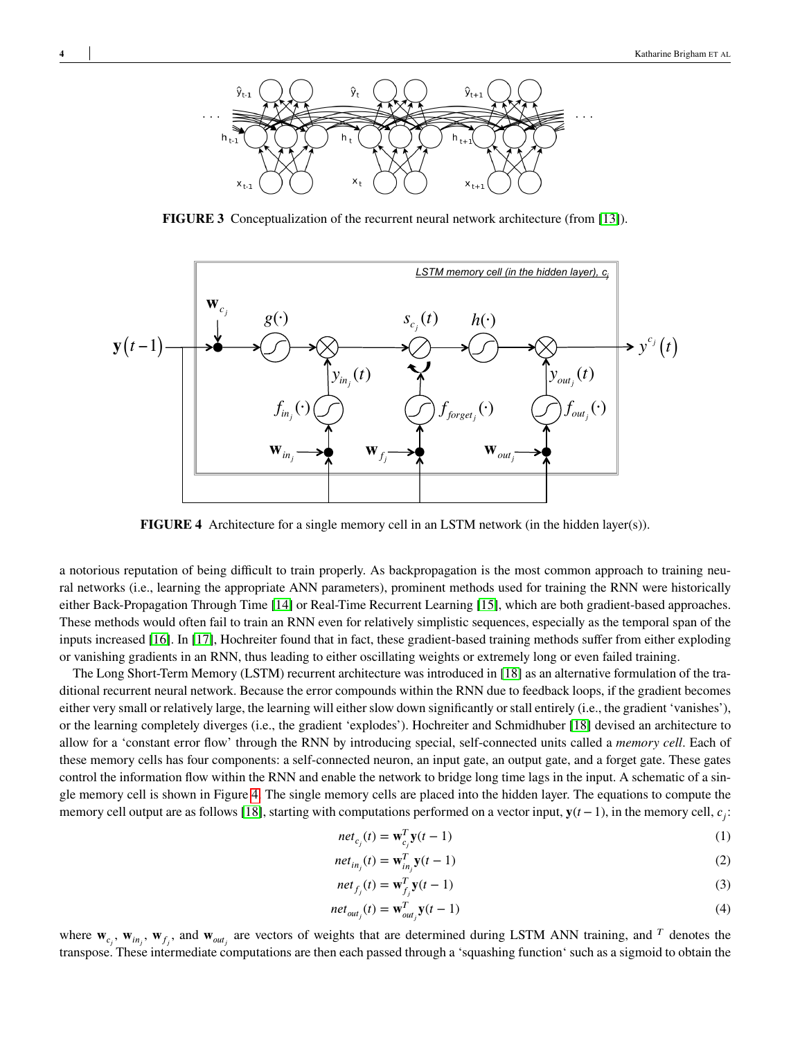<span id="page-3-0"></span>

**FIGURE 3** Conceptualization of the recurrent neural network architecture (from [\[13\]](#page-9-12)).

<span id="page-3-1"></span>

**FIGURE 4** Architecture for a single memory cell in an LSTM network (in the hidden layer(s)).

a notorious reputation of being difficult to train properly. As backpropagation is the most common approach to training neural networks (i.e., learning the appropriate ANN parameters), prominent methods used for training the RNN were historically either Back-Propagation Through Time [\[14\]](#page-9-13) or Real-Time Recurrent Learning [\[15\]](#page-9-14), which are both gradient-based approaches. These methods would often fail to train an RNN even for relatively simplistic sequences, especially as the temporal span of the inputs increased [\[16\]](#page-9-15). In [\[17\]](#page-9-16), Hochreiter found that in fact, these gradient-based training methods suffer from either exploding or vanishing gradients in an RNN, thus leading to either oscillating weights or extremely long or even failed training.

The Long Short-Term Memory (LSTM) recurrent architecture was introduced in [\[18\]](#page-9-17) as an alternative formulation of the traditional recurrent neural network. Because the error compounds within the RNN due to feedback loops, if the gradient becomes either very small or relatively large, the learning will either slow down significantly or stall entirely (i.e., the gradient 'vanishes'), or the learning completely diverges (i.e., the gradient 'explodes'). Hochreiter and Schmidhuber [\[18\]](#page-9-17) devised an architecture to allow for a 'constant error flow' through the RNN by introducing special, self-connected units called a *memory cell*. Each of these memory cells has four components: a self-connected neuron, an input gate, an output gate, and a forget gate. These gates control the information flow within the RNN and enable the network to bridge long time lags in the input. A schematic of a single memory cell is shown in Figure [4.](#page-3-1) The single memory cells are placed into the hidden layer. The equations to compute the memory cell output are as follows [\[18\]](#page-9-17), starting with computations performed on a vector input,  $y(t-1)$ , in the memory cell,  $c_j$ :

$$
net_{c_j}(t) = \mathbf{w}_{c_j}^T \mathbf{y}(t-1)
$$
\n(1)

$$
net_{in_j}(t) = \mathbf{w}_{in_j}^T \mathbf{y}(t-1)
$$
\n(2)

$$
net_{f_j}(t) = \mathbf{w}_{f_j}^T \mathbf{y}(t-1)
$$
\n(3)

$$
net_{out_j}(t) = \mathbf{w}_{out_j}^T \mathbf{y}(t-1)
$$
\n(4)

where  $\mathbf{w}_{c_j}$ ,  $\mathbf{w}_{in_j}$ ,  $\mathbf{w}_{f_j}$ , and  $\mathbf{w}_{out_j}$  are vectors of weights that are determined during LSTM ANN training, and <sup>*T*</sup> denotes the transpose. These intermediate computations are then each passed through a 'squashing function' such as a sigmoid to obtain the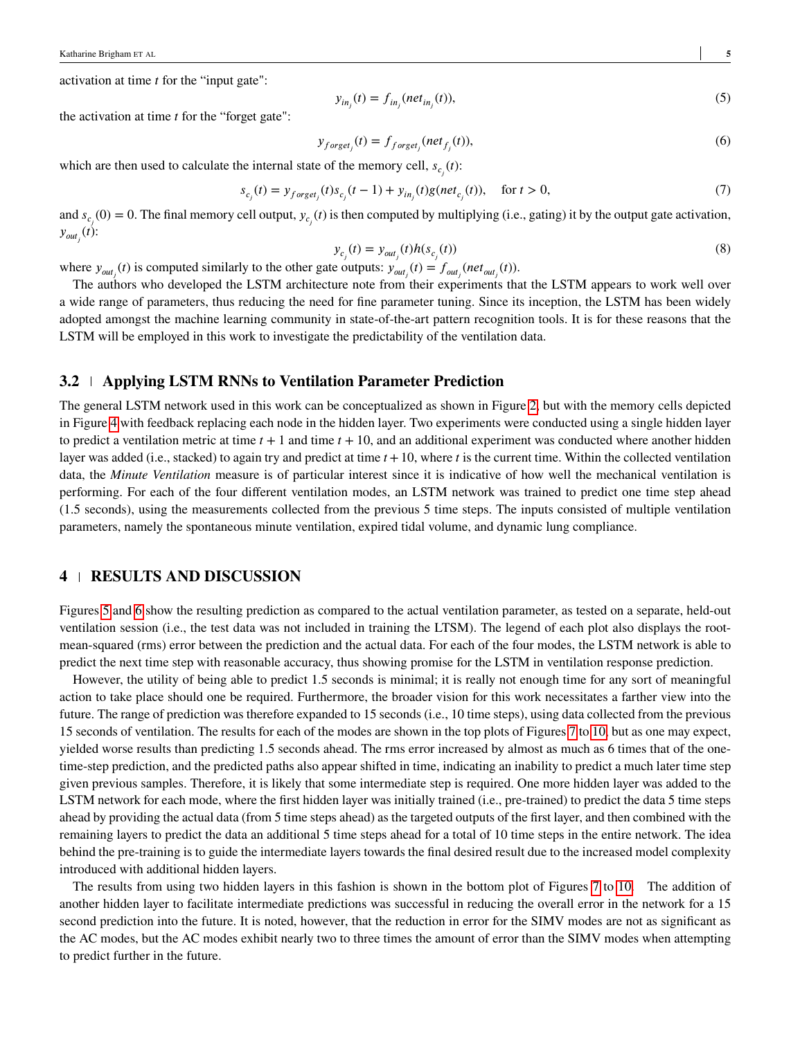activation at time *t* for the "input gate":

$$
y_{in_j}(t) = f_{in_j}(net_{in_j}(t)),
$$
\n(5)

the activation at time *t* for the "forget gate":

$$
y_{forget_j}(t) = f_{forget_j}(net_{f_j}(t)),
$$
\n(6)

which are then used to calculate the internal state of the memory cell,  $s_{c_j}(t)$ :

$$
s_{c_j}(t) = y_{forget_j}(t)s_{c_j}(t-1) + y_{in_j}(t)g(net_{c_j}(t)), \quad \text{for } t > 0,
$$
\n(7)

and  $s_{c_j}(0) = 0$ . The final memory cell output,  $y_{c_j}(t)$  is then computed by multiplying (i.e., gating) it by the output gate activation,  $y_{out_j}(t)$ :

$$
y_{c_j}(t) = y_{out_j}(t)h(s_{c_j}(t))
$$
\n(8)

where  $y_{out_j}(t)$  is computed similarly to the other gate outputs:  $y_{out_j}(t) = f_{out_j}(net_{out_j}(t))$ .

The authors who developed the LSTM architecture note from their experiments that the LSTM appears to work well over a wide range of parameters, thus reducing the need for fine parameter tuning. Since its inception, the LSTM has been widely adopted amongst the machine learning community in state-of-the-art pattern recognition tools. It is for these reasons that the LSTM will be employed in this work to investigate the predictability of the ventilation data.

### **3.2 Applying LSTM RNNs to Ventilation Parameter Prediction**

The general LSTM network used in this work can be conceptualized as shown in Figure [2,](#page-2-2) but with the memory cells depicted in Figure [4](#page-3-1) with feedback replacing each node in the hidden layer. Two experiments were conducted using a single hidden layer to predict a ventilation metric at time  $t + 1$  and time  $t + 10$ , and an additional experiment was conducted where another hidden layer was added (i.e., stacked) to again try and predict at time  $t + 10$ , where t is the current time. Within the collected ventilation data, the *Minute Ventilation* measure is of particular interest since it is indicative of how well the mechanical ventilation is performing. For each of the four different ventilation modes, an LSTM network was trained to predict one time step ahead (1.5 seconds), using the measurements collected from the previous 5 time steps. The inputs consisted of multiple ventilation parameters, namely the spontaneous minute ventilation, expired tidal volume, and dynamic lung compliance.

## <span id="page-4-0"></span>**4 RESULTS AND DISCUSSION**

Figures [5](#page-5-0) and [6](#page-5-1) show the resulting prediction as compared to the actual ventilation parameter, as tested on a separate, held-out ventilation session (i.e., the test data was not included in training the LTSM). The legend of each plot also displays the rootmean-squared (rms) error between the prediction and the actual data. For each of the four modes, the LSTM network is able to predict the next time step with reasonable accuracy, thus showing promise for the LSTM in ventilation response prediction.

However, the utility of being able to predict 1.5 seconds is minimal; it is really not enough time for any sort of meaningful action to take place should one be required. Furthermore, the broader vision for this work necessitates a farther view into the future. The range of prediction was therefore expanded to 15 seconds (i.e., 10 time steps), using data collected from the previous 15 seconds of ventilation. The results for each of the modes are shown in the top plots of Figures [7](#page-6-1) to [10,](#page-8-0) but as one may expect, yielded worse results than predicting 1.5 seconds ahead. The rms error increased by almost as much as 6 times that of the onetime-step prediction, and the predicted paths also appear shifted in time, indicating an inability to predict a much later time step given previous samples. Therefore, it is likely that some intermediate step is required. One more hidden layer was added to the LSTM network for each mode, where the first hidden layer was initially trained (i.e., pre-trained) to predict the data 5 time steps ahead by providing the actual data (from 5 time steps ahead) as the targeted outputs of the first layer, and then combined with the remaining layers to predict the data an additional 5 time steps ahead for a total of 10 time steps in the entire network. The idea behind the pre-training is to guide the intermediate layers towards the final desired result due to the increased model complexity introduced with additional hidden layers.

The results from using two hidden layers in this fashion is shown in the bottom plot of Figures [7](#page-6-1) to [10.](#page-8-0) The addition of another hidden layer to facilitate intermediate predictions was successful in reducing the overall error in the network for a 15 second prediction into the future. It is noted, however, that the reduction in error for the SIMV modes are not as significant as the AC modes, but the AC modes exhibit nearly two to three times the amount of error than the SIMV modes when attempting to predict further in the future.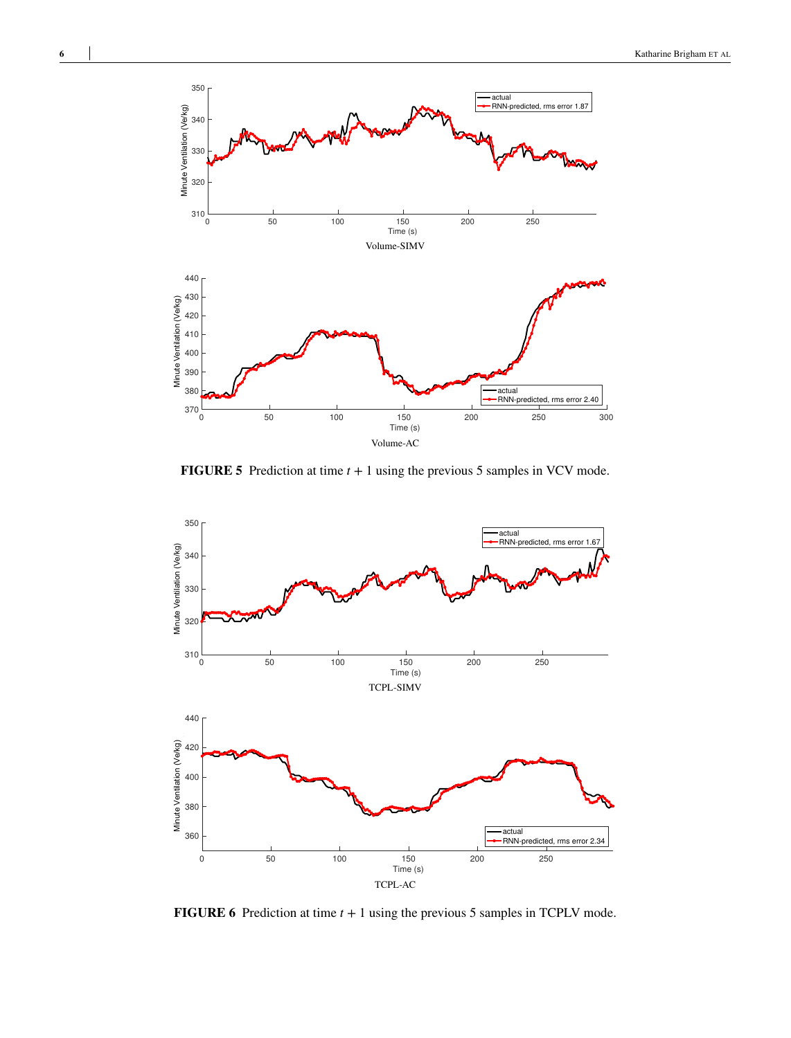<span id="page-5-0"></span>

**FIGURE 5** Prediction at time  $t + 1$  using the previous 5 samples in VCV mode.

<span id="page-5-1"></span>

**FIGURE 6** Prediction at time  $t + 1$  using the previous 5 samples in TCPLV mode.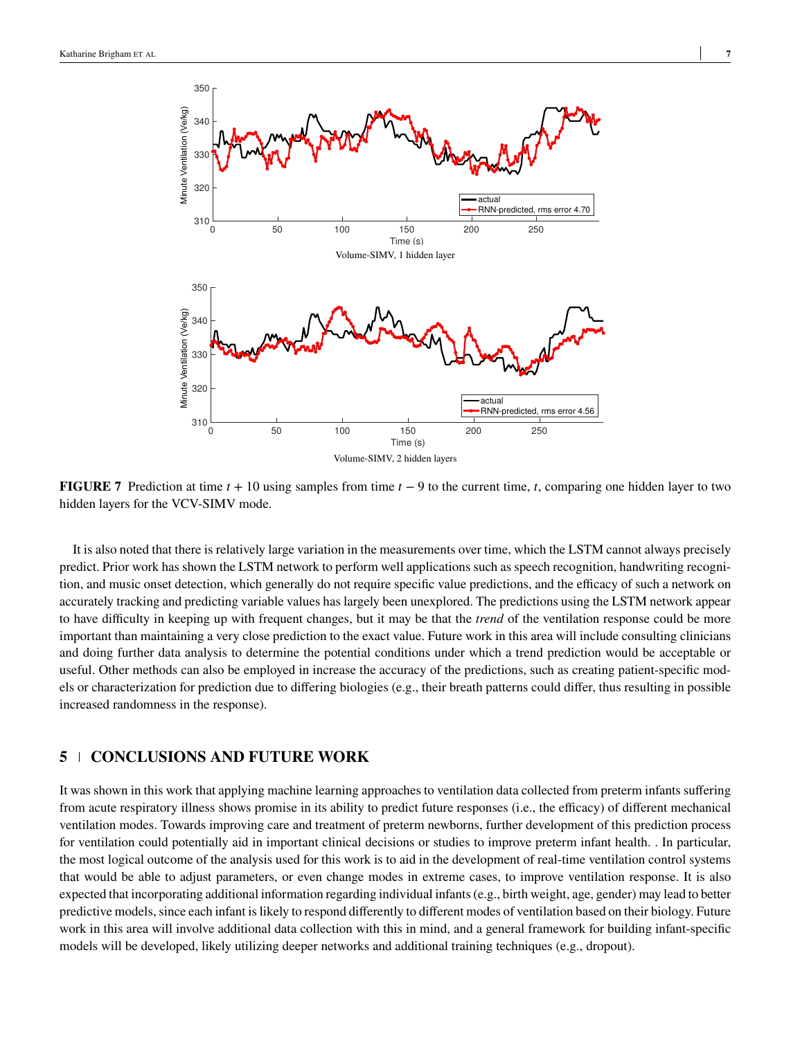<span id="page-6-1"></span>

**FIGURE 7** Prediction at time  $t + 10$  using samples from time  $t - 9$  to the current time, t, comparing one hidden layer to two hidden layers for the VCV-SIMV mode.

It is also noted that there is relatively large variation in the measurements over time, which the LSTM cannot always precisely predict. Prior work has shown the LSTM network to perform well applications such as speech recognition, handwriting recognition, and music onset detection, which generally do not require specific value predictions, and the efficacy of such a network on accurately tracking and predicting variable values has largely been unexplored. The predictions using the LSTM network appear to have difficulty in keeping up with frequent changes, but it may be that the *trend* of the ventilation response could be more important than maintaining a very close prediction to the exact value. Future work in this area will include consulting clinicians and doing further data analysis to determine the potential conditions under which a trend prediction would be acceptable or useful. Other methods can also be employed in increase the accuracy of the predictions, such as creating patient-specific models or characterization for prediction due to differing biologies (e.g., their breath patterns could differ, thus resulting in possible increased randomness in the response).

# <span id="page-6-0"></span>**5 CONCLUSIONS AND FUTURE WORK**

It was shown in this work that applying machine learning approaches to ventilation data collected from preterm infants suffering from acute respiratory illness shows promise in its ability to predict future responses (i.e., the efficacy) of different mechanical ventilation modes. Towards improving care and treatment of preterm newborns, further development of this prediction process for ventilation could potentially aid in important clinical decisions or studies to improve preterm infant health. . In particular, the most logical outcome of the analysis used for this work is to aid in the development of real-time ventilation control systems that would be able to adjust parameters, or even change modes in extreme cases, to improve ventilation response. It is also expected that incorporating additional information regarding individual infants (e.g., birth weight, age, gender) may lead to better predictive models, since each infant is likely to respond differently to different modes of ventilation based on their biology. Future work in this area will involve additional data collection with this in mind, and a general framework for building infant-specific models will be developed, likely utilizing deeper networks and additional training techniques (e.g., dropout).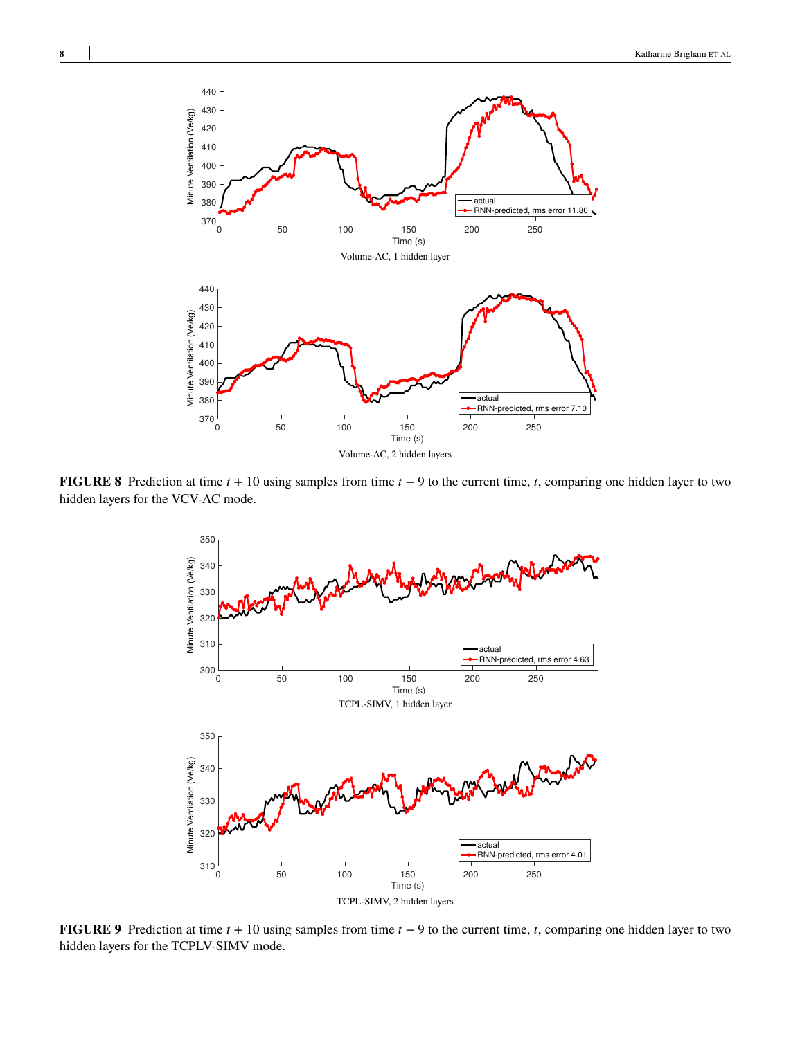

**FIGURE 8** Prediction at time  $t + 10$  using samples from time  $t - 9$  to the current time,  $t$ , comparing one hidden layer to two hidden layers for the VCV-AC mode.



**FIGURE 9** Prediction at time *t* + 10 using samples from time *t* − 9 to the current time, *t*, comparing one hidden layer to two hidden layers for the TCPLV-SIMV mode.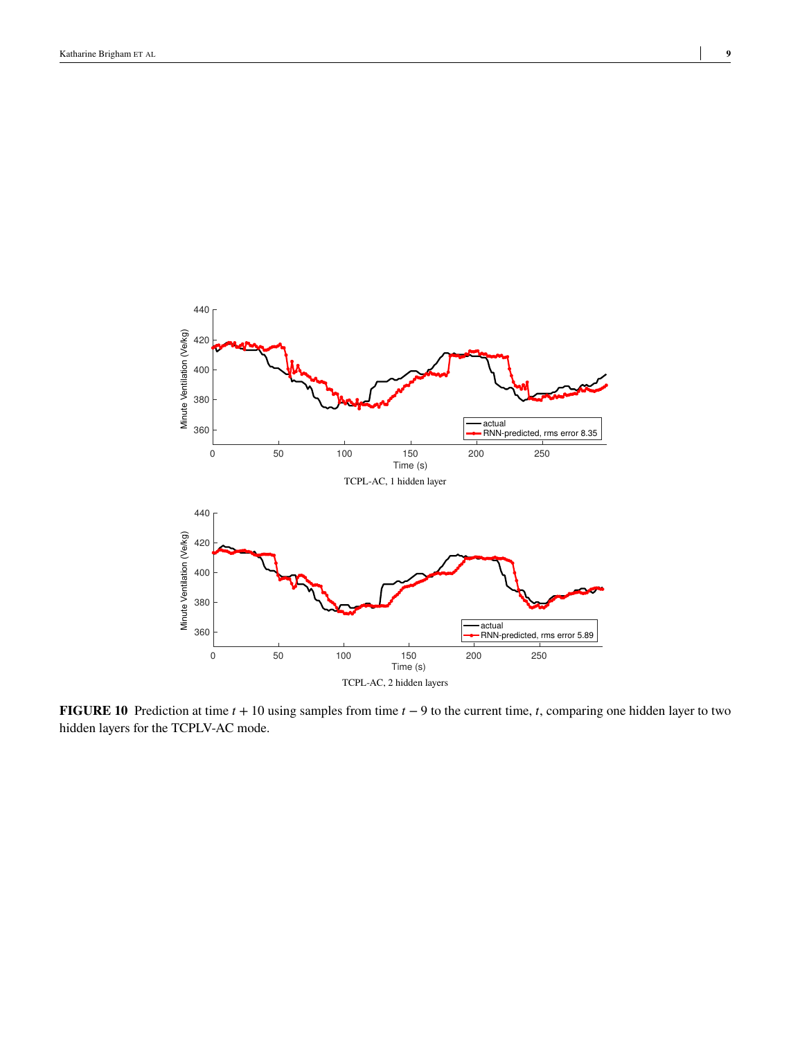<span id="page-8-0"></span>

**FIGURE 10** Prediction at time  $t + 10$  using samples from time  $t - 9$  to the current time,  $t$ , comparing one hidden layer to two hidden layers for the TCPLV-AC mode.